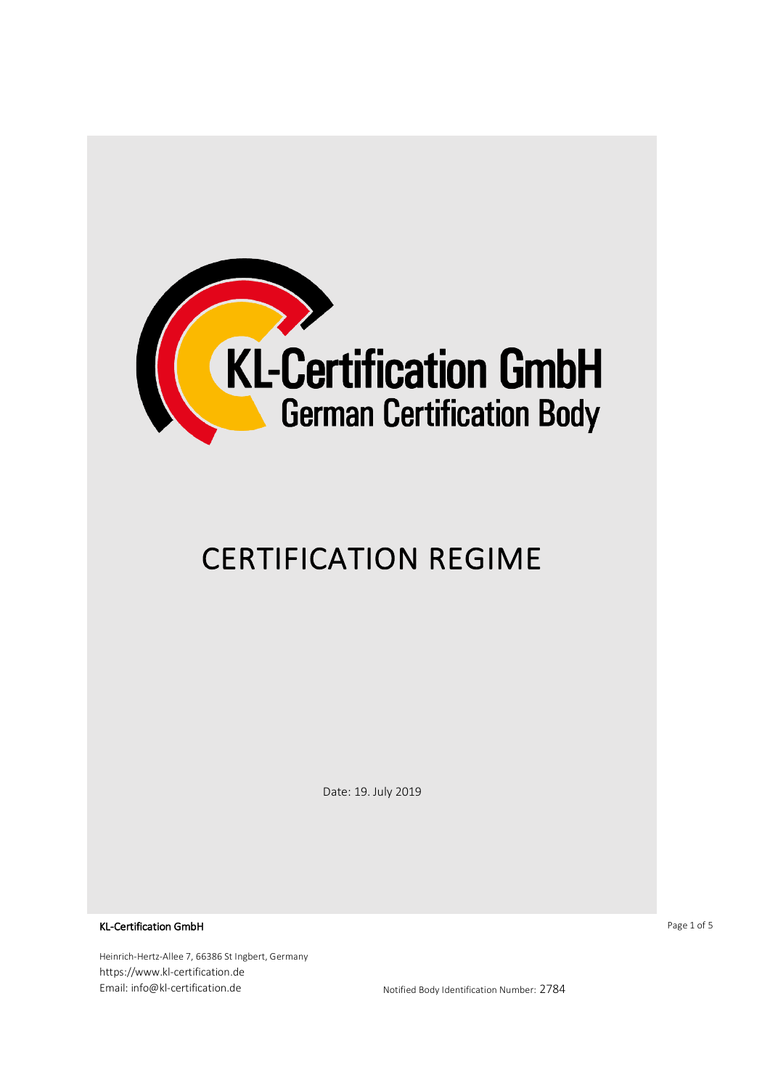

# CERTIFICATION REGIME

Date: 19. July 2019

KL-Certification GmbH

Heinrich-Hertz-Allee 7, 66386 St Ingbert, Germany https://www.kl-certification.de Email: info@kl-certification.de https://www.mail: info@kl-certification.de

Page 1 of 5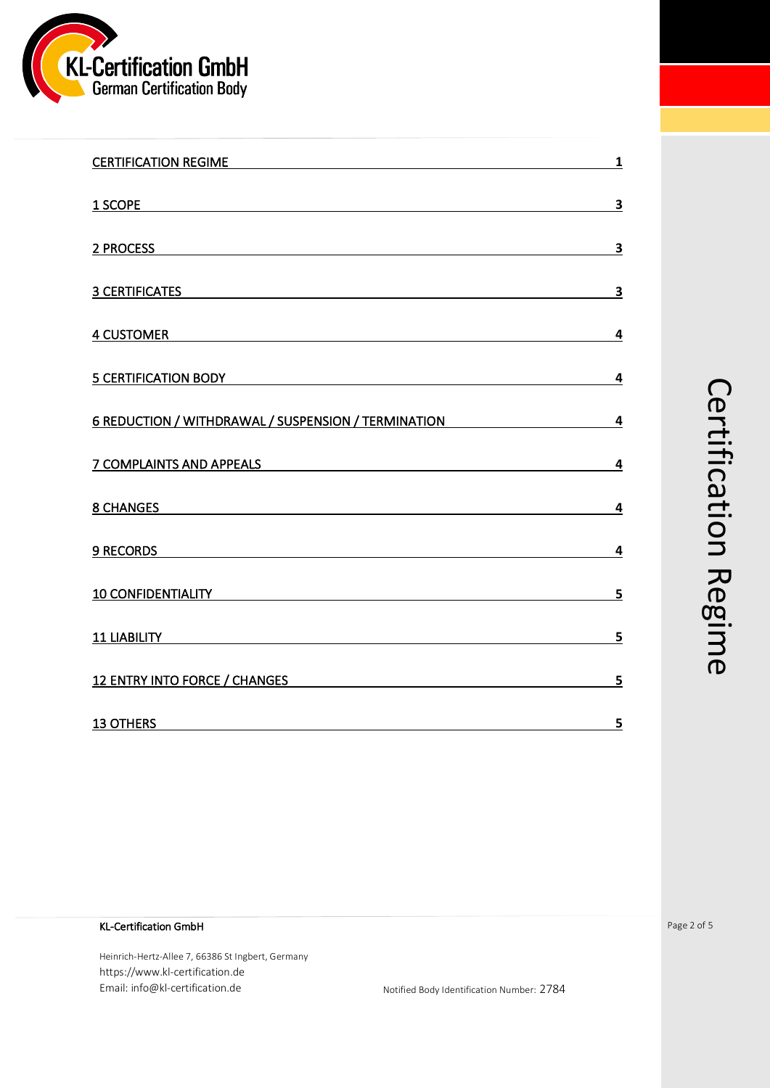

| CERTIFICATION REGIME <b>Example 2018</b>                                                                                                                                                                                            | $\overline{\mathbf{1}}$ |
|-------------------------------------------------------------------------------------------------------------------------------------------------------------------------------------------------------------------------------------|-------------------------|
| <u>1 SCOPE</u>                                                                                                                                                                                                                      | $\overline{\mathbf{3}}$ |
| 2 PROCESS 200 CONTROL CONTROL CONTROL CONTROL CONTROL CONTROL CONTROL CONTROL CONTROL CONTROL CONTROL CONTROL CONTROL CONTROL CONTROL CONTROL CONTROL CONTROL CONTROL CONTROL CONTROL CONTROL CONTROL CONTROL CONTROL CONTROL       | <u>3</u>                |
| <b>3 CERTIFICATES</b>                                                                                                                                                                                                               | $\overline{\mathbf{3}}$ |
| 4 CUSTOMER AND RESIDENCE AND RESIDENCE AND RESIDENCE AND RESIDENCE AND RESIDENCE AND RESIDENCE AND RESIDENCE AND RESIDENCE AND RESIDENCE AND RESIDENCE AND RESIDENCE AND RESIDENCE AND RESIDENCE AND RESIDENCE AND RESIDENCE A      | 4                       |
| 5 CERTIFICATION BODY <b>Example 20</b> Separate and the set of the set of the set of the set of the set of the set of the set of the set of the set of the set of the set of the set of the set of the set of the set of the set of | 4                       |
| 6 REDUCTION / WITHDRAWAL / SUSPENSION / TERMINATION                                                                                                                                                                                 | $\overline{4}$          |
| 7 COMPLAINTS AND APPEALS TELECTRICITY OF THE RESIDENCE AND APPEALS                                                                                                                                                                  | $\overline{4}$          |
| 8 CHANGES AND RESIDENCE AND RESIDENCE AND RESIDENCE AND RESIDENCE AND RESIDENCE AND RESIDENCE AND RESIDENCE AND RESIDENCE AND RESIDENCE AND RESIDENCE AND RESIDENCE AND RESIDENCE AND RESIDENCE AND RESIDENCE AND RESIDENCE AN      | 4                       |
| 9 RECORDS <b>Example 20</b> RECORDS                                                                                                                                                                                                 | 4                       |
| 10 CONFIDENTIALITY <b>And All Accounts and Accounts</b> and Accounts and Accounts and Accounts and Accounts and Accounts and Accounts and Accounts and Accounts and Accounts and Accounts and Accounts and Accounts and Accounts an | 5                       |
| <b>11 LIABILITY Example 20 CONSUMING 20 AND 20 AND 20 AND 20 AND 20 AND 20 AND 20 AND 20 AND 20 AND 20 AND 20 AND 20 AND 20 AND 20 AND 20 AND 20 AND 20 AND 20 AND 20 AND 20 AND 20 AND 20 AND 20 AND 20 AND 20 AND 20 AND 2</b>    | 5                       |
| <b>12 ENTRY INTO FORCE / CHANGES</b><br><u> 1980 - Jan Samuel Barbara, martin di sebagai personal di sebagai personal di sebagai personal di sebagai per</u>                                                                        | 5                       |
| <b>13 OTHERS</b>                                                                                                                                                                                                                    | 5                       |

# Certification Regime Certification Regime

# KL-Certification GmbH

Heinrich-Hertz-Allee 7, 66386 St Ingbert, Germany https://www.kl-certification.de Email: info@kl-certification.de https://www.mail: info@kl-certification.de Page 2 of 5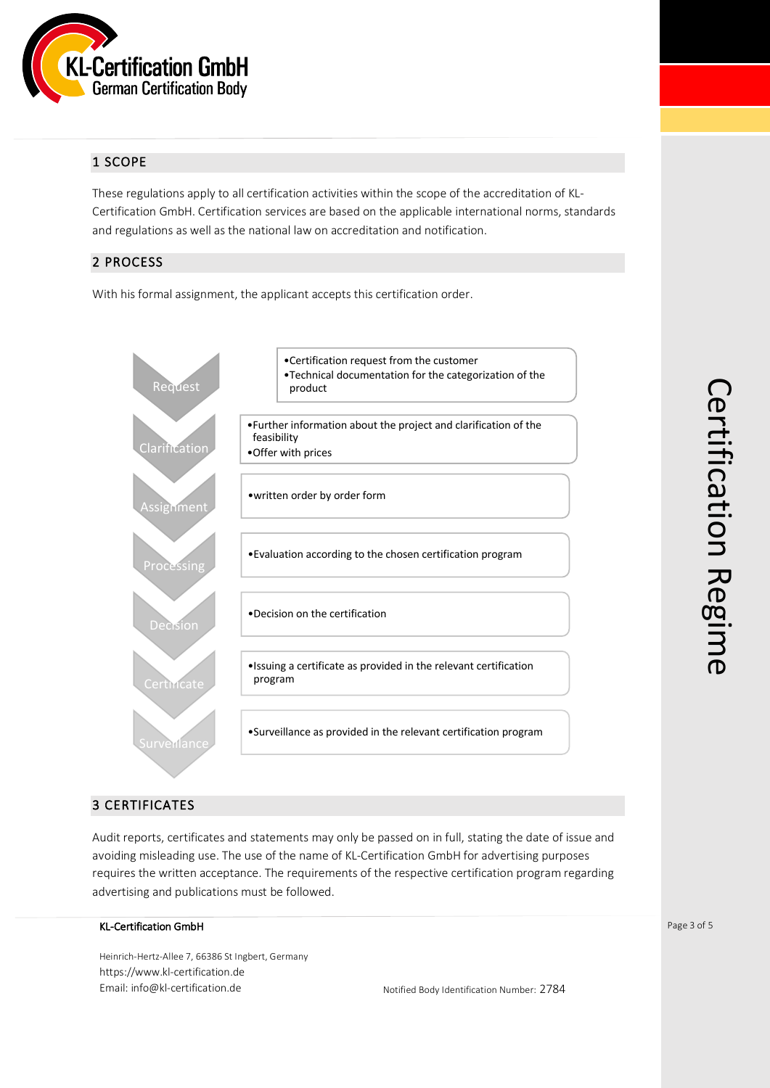

# 1 SCOPE

These regulations apply to all certification activities within the scope of the accreditation of KL-Certification GmbH. Certification services are based on the applicable international norms, standards and regulations as well as the national law on accreditation and notification.

# 2 PROCESS

With his formal assignment, the applicant accepts this certification order.



# 3 CERTIFICATES

Audit reports, certificates and statements may only be passed on in full, stating the date of issue and avoiding misleading use. The use of the name of KL-Certification GmbH for advertising purposes requires the written acceptance. The requirements of the respective certification program regarding advertising and publications must be followed.

#### KL-Certification GmbH

Heinrich-Hertz-Allee 7, 66386 St Ingbert, Germany https://www.kl-certification.de Email: info@kl-certification.de **Notified Body Identification Number: 2784**  Page 3 of 5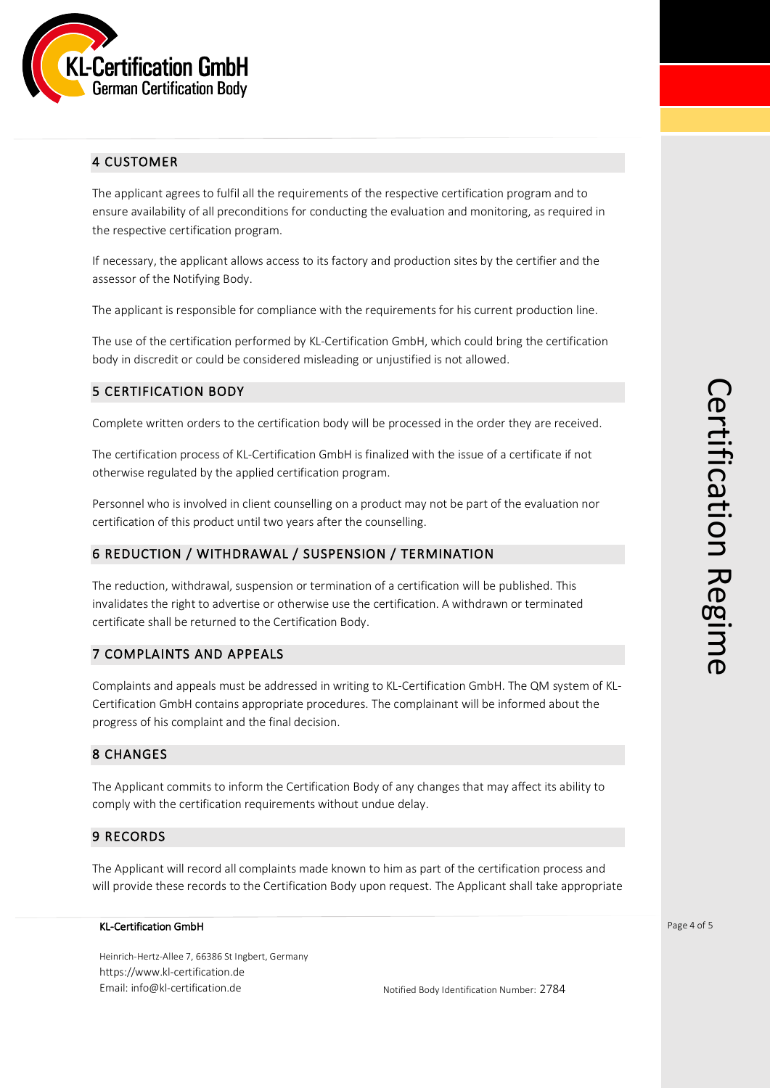

# 4 CUSTOMER

The applicant agrees to fulfil all the requirements of the respective certification program and to ensure availability of all preconditions for conducting the evaluation and monitoring, as required in the respective certification program.

If necessary, the applicant allows access to its factory and production sites by the certifier and the assessor of the Notifying Body.

The applicant is responsible for compliance with the requirements for his current production line.

The use of the certification performed by KL-Certification GmbH, which could bring the certification body in discredit or could be considered misleading or unjustified is not allowed.

# 5 CERTIFICATION BODY

Complete written orders to the certification body will be processed in the order they are received.

The certification process of KL-Certification GmbH is finalized with the issue of a certificate if not otherwise regulated by the applied certification program.

Personnel who is involved in client counselling on a product may not be part of the evaluation nor certification of this product until two years after the counselling.

# 6 REDUCTION / WITHDRAWAL / SUSPENSION / TERMINATION

The reduction, withdrawal, suspension or termination of a certification will be published. This invalidates the right to advertise or otherwise use the certification. A withdrawn or terminated certificate shall be returned to the Certification Body.

#### 7 COMPLAINTS AND APPEALS

Complaints and appeals must be addressed in writing to KL-Certification GmbH. The QM system of KL-Certification GmbH contains appropriate procedures. The complainant will be informed about the progress of his complaint and the final decision.

#### 8 CHANGES

The Applicant commits to inform the Certification Body of any changes that may affect its ability to comply with the certification requirements without undue delay.

#### 9 RECORDS

The Applicant will record all complaints made known to him as part of the certification process and will provide these records to the Certification Body upon request. The Applicant shall take appropriate

#### KL-Certification GmbH

Heinrich-Hertz-Allee 7, 66386 St Ingbert, Germany https://www.kl-certification.de Email: info@kl-certification.de **Notified Body Identification Number: 2784** 

Page 4 of 5